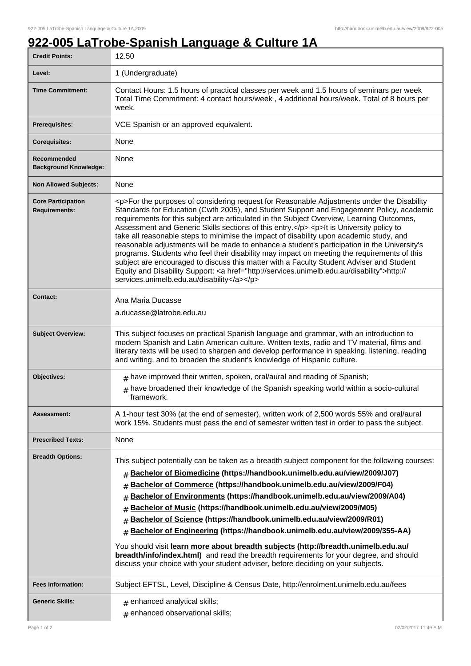## **922-005 LaTrobe-Spanish Language & Culture 1A**

| <b>Credit Points:</b>                             | 12.50                                                                                                                                                                                                                                                                                                                                                                                                                                                                                                                                                                                                                                                                                                                                                                                                                                                                                                                        |
|---------------------------------------------------|------------------------------------------------------------------------------------------------------------------------------------------------------------------------------------------------------------------------------------------------------------------------------------------------------------------------------------------------------------------------------------------------------------------------------------------------------------------------------------------------------------------------------------------------------------------------------------------------------------------------------------------------------------------------------------------------------------------------------------------------------------------------------------------------------------------------------------------------------------------------------------------------------------------------------|
| Level:                                            | 1 (Undergraduate)                                                                                                                                                                                                                                                                                                                                                                                                                                                                                                                                                                                                                                                                                                                                                                                                                                                                                                            |
| <b>Time Commitment:</b>                           | Contact Hours: 1.5 hours of practical classes per week and 1.5 hours of seminars per week<br>Total Time Commitment: 4 contact hours/week, 4 additional hours/week. Total of 8 hours per<br>week.                                                                                                                                                                                                                                                                                                                                                                                                                                                                                                                                                                                                                                                                                                                             |
| <b>Prerequisites:</b>                             | VCE Spanish or an approved equivalent.                                                                                                                                                                                                                                                                                                                                                                                                                                                                                                                                                                                                                                                                                                                                                                                                                                                                                       |
| <b>Corequisites:</b>                              | None                                                                                                                                                                                                                                                                                                                                                                                                                                                                                                                                                                                                                                                                                                                                                                                                                                                                                                                         |
| Recommended<br><b>Background Knowledge:</b>       | None                                                                                                                                                                                                                                                                                                                                                                                                                                                                                                                                                                                                                                                                                                                                                                                                                                                                                                                         |
| <b>Non Allowed Subjects:</b>                      | None                                                                                                                                                                                                                                                                                                                                                                                                                                                                                                                                                                                                                                                                                                                                                                                                                                                                                                                         |
| <b>Core Participation</b><br><b>Requirements:</b> | <p>For the purposes of considering request for Reasonable Adjustments under the Disability<br/>Standards for Education (Cwth 2005), and Student Support and Engagement Policy, academic<br/>requirements for this subject are articulated in the Subject Overview, Learning Outcomes,<br/>Assessment and Generic Skills sections of this entry.</p> <p>lt is University policy to<br/>take all reasonable steps to minimise the impact of disability upon academic study, and<br/>reasonable adjustments will be made to enhance a student's participation in the University's<br/>programs. Students who feel their disability may impact on meeting the requirements of this<br/>subject are encouraged to discuss this matter with a Faculty Student Adviser and Student<br/>Equity and Disability Support: &lt; a href="http://services.unimelb.edu.au/disability"&gt;http://<br/>services.unimelb.edu.au/disability</p> |
| <b>Contact:</b>                                   | Ana Maria Ducasse                                                                                                                                                                                                                                                                                                                                                                                                                                                                                                                                                                                                                                                                                                                                                                                                                                                                                                            |
|                                                   | a.ducasse@latrobe.edu.au                                                                                                                                                                                                                                                                                                                                                                                                                                                                                                                                                                                                                                                                                                                                                                                                                                                                                                     |
| <b>Subject Overview:</b>                          | This subject focuses on practical Spanish language and grammar, with an introduction to<br>modern Spanish and Latin American culture. Written texts, radio and TV material, films and<br>literary texts will be used to sharpen and develop performance in speaking, listening, reading<br>and writing, and to broaden the student's knowledge of Hispanic culture.                                                                                                                                                                                                                                                                                                                                                                                                                                                                                                                                                          |
| Objectives:                                       | $#$ have improved their written, spoken, oral/aural and reading of Spanish;<br>have broadened their knowledge of the Spanish speaking world within a socio-cultural<br>#<br>framework.                                                                                                                                                                                                                                                                                                                                                                                                                                                                                                                                                                                                                                                                                                                                       |
| Assessment:                                       | A 1-hour test 30% (at the end of semester), written work of 2,500 words 55% and oral/aural<br>work 15%. Students must pass the end of semester written test in order to pass the subject.                                                                                                                                                                                                                                                                                                                                                                                                                                                                                                                                                                                                                                                                                                                                    |
| <b>Prescribed Texts:</b>                          | None                                                                                                                                                                                                                                                                                                                                                                                                                                                                                                                                                                                                                                                                                                                                                                                                                                                                                                                         |
| <b>Breadth Options:</b>                           | This subject potentially can be taken as a breadth subject component for the following courses:<br>Bachelor of Biomedicine (https://handbook.unimelb.edu.au/view/2009/J07)<br>#<br>Bachelor of Commerce (https://handbook.unimelb.edu.au/view/2009/F04)<br>#<br>Bachelor of Environments (https://handbook.unimelb.edu.au/view/2009/A04)<br>#<br>Bachelor of Music (https://handbook.unimelb.edu.au/view/2009/M05)<br>#<br>Bachelor of Science (https://handbook.unimelb.edu.au/view/2009/R01)<br>#<br>Bachelor of Engineering (https://handbook.unimelb.edu.au/view/2009/355-AA)<br>#<br>You should visit learn more about breadth subjects (http://breadth.unimelb.edu.au/<br>breadth/info/index.html) and read the breadth requirements for your degree, and should<br>discuss your choice with your student adviser, before deciding on your subjects.                                                                   |
| <b>Fees Information:</b>                          | Subject EFTSL, Level, Discipline & Census Date, http://enrolment.unimelb.edu.au/fees                                                                                                                                                                                                                                                                                                                                                                                                                                                                                                                                                                                                                                                                                                                                                                                                                                         |
| <b>Generic Skills:</b>                            | $#$ enhanced analytical skills;<br>enhanced observational skills;<br>$\pm$                                                                                                                                                                                                                                                                                                                                                                                                                                                                                                                                                                                                                                                                                                                                                                                                                                                   |